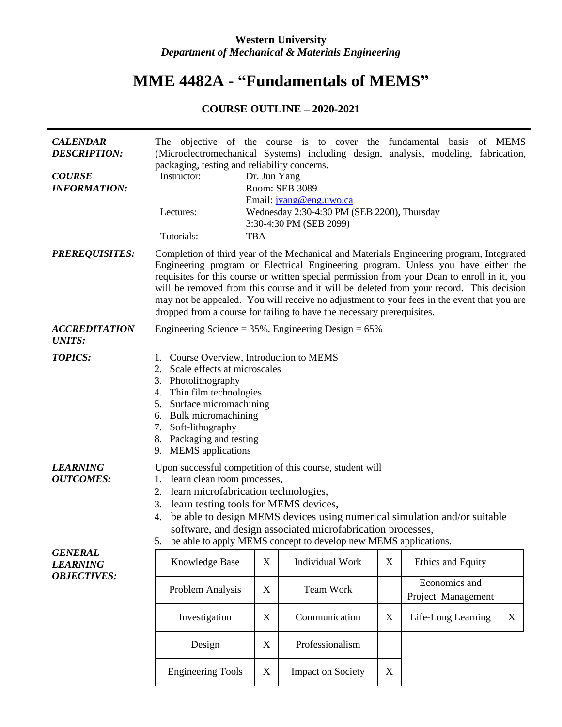## **Western University** *Department of Mechanical & Materials Engineering*

## **MME 4482A - "Fundamentals of MEMS"**

## **COURSE OUTLINE – 2020-2021**

| <b>CALENDAR</b><br><b>DESCRIPTION:</b><br><b>COURSE</b><br><b>INFORMATION:</b> | packaging, testing and reliability concerns.<br>Instructor:                                                                                                                                                                                                                                                                                                                                                                                                                                                                                      | Dr. Jun Yang | Room: SEB 3089                                                                                    |             | The objective of the course is to cover the fundamental basis of MEMS<br>(Microelectromechanical Systems) including design, analysis, modeling, fabrication, |             |
|--------------------------------------------------------------------------------|--------------------------------------------------------------------------------------------------------------------------------------------------------------------------------------------------------------------------------------------------------------------------------------------------------------------------------------------------------------------------------------------------------------------------------------------------------------------------------------------------------------------------------------------------|--------------|---------------------------------------------------------------------------------------------------|-------------|--------------------------------------------------------------------------------------------------------------------------------------------------------------|-------------|
|                                                                                | Lectures:<br>Tutorials:                                                                                                                                                                                                                                                                                                                                                                                                                                                                                                                          | <b>TBA</b>   | Email: jyang@eng.uwo.ca<br>Wednesday 2:30-4:30 PM (SEB 2200), Thursday<br>3:30-4:30 PM (SEB 2099) |             |                                                                                                                                                              |             |
| <b>PREREQUISITES:</b>                                                          | Completion of third year of the Mechanical and Materials Engineering program, Integrated<br>Engineering program or Electrical Engineering program. Unless you have either the<br>requisites for this course or written special permission from your Dean to enroll in it, you<br>will be removed from this course and it will be deleted from your record. This decision<br>may not be appealed. You will receive no adjustment to your fees in the event that you are<br>dropped from a course for failing to have the necessary prerequisites. |              |                                                                                                   |             |                                                                                                                                                              |             |
| <b>ACCREDITATION</b><br><b>UNITS:</b>                                          | Engineering Science = $35\%$ , Engineering Design = $65\%$                                                                                                                                                                                                                                                                                                                                                                                                                                                                                       |              |                                                                                                   |             |                                                                                                                                                              |             |
| <b>TOPICS:</b>                                                                 | 1. Course Overview, Introduction to MEMS<br>2. Scale effects at microscales<br>3. Photolithography<br>4. Thin film technologies<br>5. Surface micromachining<br>6. Bulk micromachining<br>7. Soft-lithography<br>8. Packaging and testing<br>9. MEMS applications                                                                                                                                                                                                                                                                                |              |                                                                                                   |             |                                                                                                                                                              |             |
| <b>LEARNING</b><br><b>OUTCOMES:</b>                                            | Upon successful competition of this course, student will<br>1. learn clean room processes,<br>2. learn microfabrication technologies,<br>learn testing tools for MEMS devices,<br>3.<br>be able to design MEMS devices using numerical simulation and/or suitable<br>4.<br>software, and design associated microfabrication processes,<br>5. be able to apply MEMS concept to develop new MEMS applications.                                                                                                                                     |              |                                                                                                   |             |                                                                                                                                                              |             |
| <b>GENERAL</b><br><b>LEARNING</b><br><b>OBJECTIVES:</b>                        | Knowledge Base                                                                                                                                                                                                                                                                                                                                                                                                                                                                                                                                   | X            | Individual Work                                                                                   | $\mathbf X$ | Ethics and Equity                                                                                                                                            |             |
|                                                                                | Problem Analysis                                                                                                                                                                                                                                                                                                                                                                                                                                                                                                                                 | X            | Team Work                                                                                         |             | Economics and<br>Project Management                                                                                                                          |             |
|                                                                                | Investigation                                                                                                                                                                                                                                                                                                                                                                                                                                                                                                                                    | X            | Communication                                                                                     | X           | Life-Long Learning                                                                                                                                           | $\mathbf X$ |
|                                                                                | Design                                                                                                                                                                                                                                                                                                                                                                                                                                                                                                                                           | X            | Professionalism                                                                                   |             |                                                                                                                                                              |             |
|                                                                                | <b>Engineering Tools</b>                                                                                                                                                                                                                                                                                                                                                                                                                                                                                                                         | X            | <b>Impact on Society</b>                                                                          | X           |                                                                                                                                                              |             |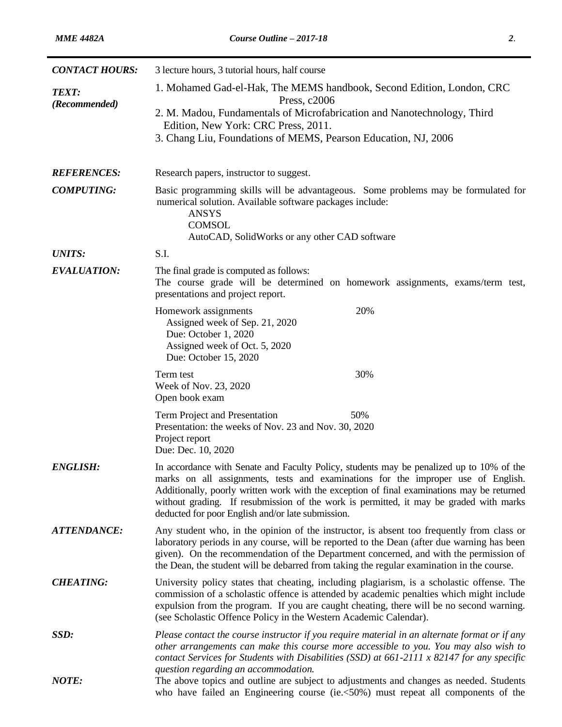| <b>CONTACT HOURS:</b>         | 3 lecture hours, 3 tutorial hours, half course                                                                                                                                                                                                                                                                                                                                                                             |  |  |  |  |  |
|-------------------------------|----------------------------------------------------------------------------------------------------------------------------------------------------------------------------------------------------------------------------------------------------------------------------------------------------------------------------------------------------------------------------------------------------------------------------|--|--|--|--|--|
| <b>TEXT:</b><br>(Recommended) | 1. Mohamed Gad-el-Hak, The MEMS handbook, Second Edition, London, CRC<br>Press, c2006                                                                                                                                                                                                                                                                                                                                      |  |  |  |  |  |
|                               | 2. M. Madou, Fundamentals of Microfabrication and Nanotechnology, Third<br>Edition, New York: CRC Press, 2011.<br>3. Chang Liu, Foundations of MEMS, Pearson Education, NJ, 2006                                                                                                                                                                                                                                           |  |  |  |  |  |
| <b>REFERENCES:</b>            | Research papers, instructor to suggest.                                                                                                                                                                                                                                                                                                                                                                                    |  |  |  |  |  |
| <b>COMPUTING:</b>             | Basic programming skills will be advantageous. Some problems may be formulated for<br>numerical solution. Available software packages include:<br><b>ANSYS</b><br><b>COMSOL</b><br>AutoCAD, SolidWorks or any other CAD software                                                                                                                                                                                           |  |  |  |  |  |
| <b>UNITS:</b>                 | S.I.                                                                                                                                                                                                                                                                                                                                                                                                                       |  |  |  |  |  |
| <b>EVALUATION:</b>            | The final grade is computed as follows:<br>The course grade will be determined on homework assignments, exams/term test,<br>presentations and project report.                                                                                                                                                                                                                                                              |  |  |  |  |  |
|                               | 20%<br>Homework assignments<br>Assigned week of Sep. 21, 2020<br>Due: October 1, 2020<br>Assigned week of Oct. 5, 2020<br>Due: October 15, 2020                                                                                                                                                                                                                                                                            |  |  |  |  |  |
|                               | 30%<br>Term test<br>Week of Nov. 23, 2020<br>Open book exam                                                                                                                                                                                                                                                                                                                                                                |  |  |  |  |  |
|                               | 50%<br>Term Project and Presentation<br>Presentation: the weeks of Nov. 23 and Nov. 30, 2020<br>Project report<br>Due: Dec. 10, 2020                                                                                                                                                                                                                                                                                       |  |  |  |  |  |
| <b>ENGLISH:</b>               | In accordance with Senate and Faculty Policy, students may be penalized up to 10% of the<br>marks on all assignments, tests and examinations for the improper use of English.<br>Additionally, poorly written work with the exception of final examinations may be returned<br>without grading. If resubmission of the work is permitted, it may be graded with marks<br>deducted for poor English and/or late submission. |  |  |  |  |  |
| <b>ATTENDANCE:</b>            | Any student who, in the opinion of the instructor, is absent too frequently from class or<br>laboratory periods in any course, will be reported to the Dean (after due warning has been<br>given). On the recommendation of the Department concerned, and with the permission of<br>the Dean, the student will be debarred from taking the regular examination in the course.                                              |  |  |  |  |  |
| <b>CHEATING:</b>              | University policy states that cheating, including plagiarism, is a scholastic offense. The<br>commission of a scholastic offence is attended by academic penalties which might include<br>expulsion from the program. If you are caught cheating, there will be no second warning.<br>(see Scholastic Offence Policy in the Western Academic Calendar).                                                                    |  |  |  |  |  |
| SSD:                          | Please contact the course instructor if you require material in an alternate format or if any<br>other arrangements can make this course more accessible to you. You may also wish to<br>contact Services for Students with Disabilities (SSD) at $661-2111$ x 82147 for any specific<br>question regarding an accommodation.                                                                                              |  |  |  |  |  |
| <b>NOTE:</b>                  | The above topics and outline are subject to adjustments and changes as needed. Students<br>who have failed an Engineering course (ie.<50%) must repeat all components of the                                                                                                                                                                                                                                               |  |  |  |  |  |